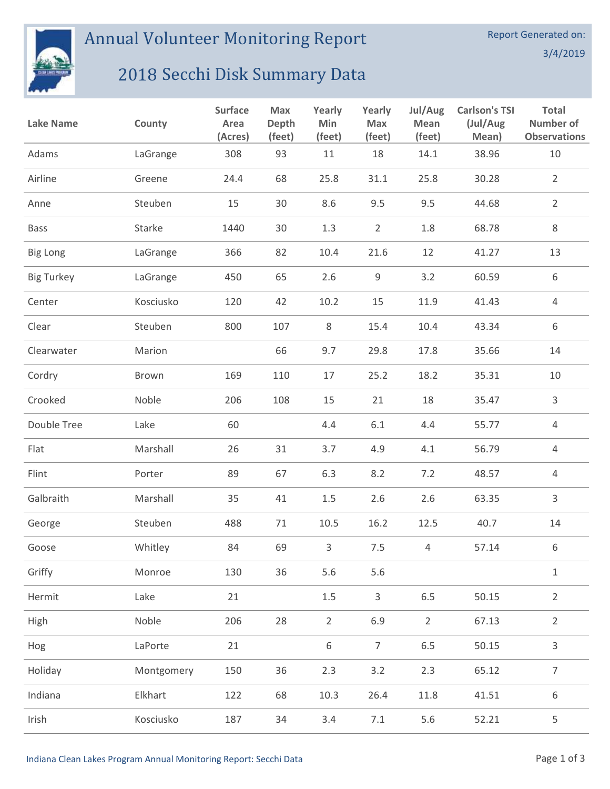

## Annual Volunteer Monitoring Report

## 2018 Secchi Disk Summary Data

|                   |            | <b>Surface</b>  | Max                    | Yearly         | Yearly         | Jul/Aug        | <b>Carlson's TSI</b> | <b>Total</b>                     |
|-------------------|------------|-----------------|------------------------|----------------|----------------|----------------|----------------------|----------------------------------|
| <b>Lake Name</b>  | County     | Area<br>(Acres) | <b>Depth</b><br>(feet) | Min<br>(feet)  | Max<br>(feet)  | Mean<br>(feet) | (Jul/Aug)<br>Mean)   | Number of<br><b>Observations</b> |
| Adams             | LaGrange   | 308             | 93                     | 11             | 18             | 14.1           | 38.96                | 10                               |
| Airline           | Greene     | 24.4            | 68                     | 25.8           | 31.1           | 25.8           | 30.28                | $\overline{2}$                   |
| Anne              | Steuben    | 15              | 30                     | 8.6            | 9.5            | 9.5            | 44.68                | $\overline{2}$                   |
| <b>Bass</b>       | Starke     | 1440            | 30                     | 1.3            | $\overline{2}$ | 1.8            | 68.78                | 8                                |
| <b>Big Long</b>   | LaGrange   | 366             | 82                     | 10.4           | 21.6           | 12             | 41.27                | 13                               |
| <b>Big Turkey</b> | LaGrange   | 450             | 65                     | 2.6            | 9              | 3.2            | 60.59                | 6                                |
| Center            | Kosciusko  | 120             | 42                     | 10.2           | 15             | 11.9           | 41.43                | $\overline{4}$                   |
| Clear             | Steuben    | 800             | 107                    | 8              | 15.4           | 10.4           | 43.34                | 6                                |
| Clearwater        | Marion     |                 | 66                     | 9.7            | 29.8           | 17.8           | 35.66                | 14                               |
| Cordry            | Brown      | 169             | 110                    | 17             | 25.2           | 18.2           | 35.31                | 10                               |
| Crooked           | Noble      | 206             | 108                    | 15             | 21             | 18             | 35.47                | 3                                |
| Double Tree       | Lake       | 60              |                        | 4.4            | $6.1\,$        | 4.4            | 55.77                | 4                                |
| Flat              | Marshall   | 26              | 31                     | 3.7            | 4.9            | 4.1            | 56.79                | 4                                |
| Flint             | Porter     | 89              | 67                     | 6.3            | 8.2            | 7.2            | 48.57                | $\overline{4}$                   |
| Galbraith         | Marshall   | 35              | 41                     | $1.5\,$        | 2.6            | 2.6            | 63.35                | $\mathsf{3}$                     |
| George            | Steuben    | 488             | 71                     | 10.5           | 16.2           | 12.5           | 40.7                 | 14                               |
| Goose             | Whitley    | 84              | 69                     | 3              | 7.5            | $\overline{4}$ | 57.14                | 6                                |
| Griffy            | Monroe     | 130             | 36                     | 5.6            | 5.6            |                |                      | $\mathbf{1}$                     |
| Hermit            | Lake       | 21              |                        | $1.5\,$        | $\mathsf{3}$   | 6.5            | 50.15                | $\overline{2}$                   |
| High              | Noble      | 206             | 28                     | $\overline{2}$ | 6.9            | $\overline{2}$ | 67.13                | $\overline{2}$                   |
| Hog               | LaPorte    | 21              |                        | $\,$ 6 $\,$    | $\overline{7}$ | $6.5\,$        | 50.15                | $\mathsf{3}$                     |
| Holiday           | Montgomery | 150             | 36                     | 2.3            | 3.2            | 2.3            | 65.12                | $\overline{7}$                   |
| Indiana           | Elkhart    | 122             | 68                     | 10.3           | 26.4           | 11.8           | 41.51                | 6                                |
| Irish             | Kosciusko  | 187             | 34                     | $3.4$          | $7.1\,$        | 5.6            | 52.21                | 5                                |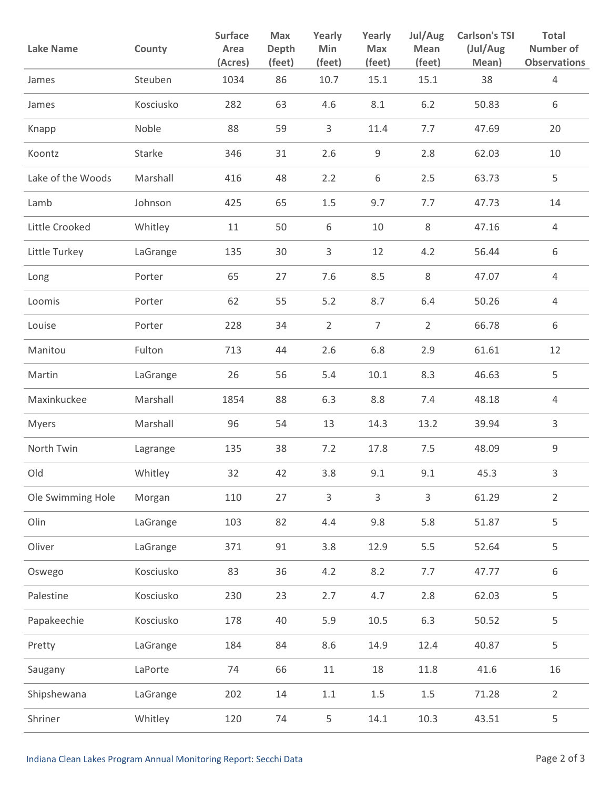| <b>Lake Name</b>  | County    | <b>Surface</b><br>Area<br>(Acres) | Max<br>Depth<br>(feet) | Yearly<br>Min<br>(feet) | Yearly<br>Max<br>(feet) | Jul/Aug<br>Mean<br>(feet) | <b>Carlson's TSI</b><br>(Jul/Aug)<br>Mean) | <b>Total</b><br>Number of<br><b>Observations</b> |
|-------------------|-----------|-----------------------------------|------------------------|-------------------------|-------------------------|---------------------------|--------------------------------------------|--------------------------------------------------|
| James             | Steuben   | 1034                              | 86                     | 10.7                    | 15.1                    | 15.1                      | 38                                         | 4                                                |
| James             | Kosciusko | 282                               | 63                     | 4.6                     | 8.1                     | 6.2                       | 50.83                                      | 6                                                |
| Knapp             | Noble     | 88                                | 59                     | 3                       | 11.4                    | 7.7                       | 47.69                                      | 20                                               |
| Koontz            | Starke    | 346                               | 31                     | 2.6                     | 9                       | 2.8                       | 62.03                                      | 10                                               |
| Lake of the Woods | Marshall  | 416                               | 48                     | 2.2                     | 6                       | 2.5                       | 63.73                                      | 5                                                |
| Lamb              | Johnson   | 425                               | 65                     | 1.5                     | 9.7                     | 7.7                       | 47.73                                      | 14                                               |
| Little Crooked    | Whitley   | 11                                | 50                     | 6                       | 10                      | 8                         | 47.16                                      | $\overline{4}$                                   |
| Little Turkey     | LaGrange  | 135                               | 30                     | $\mathsf{3}$            | 12                      | 4.2                       | 56.44                                      | 6                                                |
| Long              | Porter    | 65                                | 27                     | 7.6                     | 8.5                     | 8                         | 47.07                                      | $\overline{4}$                                   |
| Loomis            | Porter    | 62                                | 55                     | $5.2$                   | 8.7                     | 6.4                       | 50.26                                      | 4                                                |
| Louise            | Porter    | 228                               | 34                     | $\overline{2}$          | $\overline{7}$          | $\overline{2}$            | 66.78                                      | 6                                                |
| Manitou           | Fulton    | 713                               | 44                     | 2.6                     | 6.8                     | 2.9                       | 61.61                                      | 12                                               |
| Martin            | LaGrange  | 26                                | 56                     | 5.4                     | 10.1                    | 8.3                       | 46.63                                      | 5                                                |
| Maxinkuckee       | Marshall  | 1854                              | 88                     | 6.3                     | 8.8                     | 7.4                       | 48.18                                      | 4                                                |
| <b>Myers</b>      | Marshall  | 96                                | 54                     | 13                      | 14.3                    | 13.2                      | 39.94                                      | 3                                                |
| North Twin        | Lagrange  | 135                               | 38                     | 7.2                     | 17.8                    | 7.5                       | 48.09                                      | 9                                                |
| Old               | Whitley   | 32                                | 42                     | 3.8                     | 9.1                     | 9.1                       | 45.3                                       | 3                                                |
| Ole Swimming Hole | Morgan    | 110                               | 27                     | $\mathsf{3}$            | $\overline{3}$          | 3                         | 61.29                                      | $\overline{2}$                                   |
| Olin              | LaGrange  | 103                               | 82                     | 4.4                     | 9.8                     | 5.8                       | 51.87                                      | 5                                                |
| Oliver            | LaGrange  | 371                               | 91                     | 3.8                     | 12.9                    | 5.5                       | 52.64                                      | 5                                                |
| Oswego            | Kosciusko | 83                                | 36                     | 4.2                     | 8.2                     | 7.7                       | 47.77                                      | 6                                                |
| Palestine         | Kosciusko | 230                               | 23                     | 2.7                     | 4.7                     | 2.8                       | 62.03                                      | 5                                                |
| Papakeechie       | Kosciusko | 178                               | 40                     | 5.9                     | $10.5\,$                | 6.3                       | 50.52                                      | 5                                                |
| Pretty            | LaGrange  | 184                               | 84                     | 8.6                     | 14.9                    | 12.4                      | 40.87                                      | 5                                                |
| Saugany           | LaPorte   | 74                                | 66                     | $11\,$                  | 18                      | 11.8                      | 41.6                                       | 16                                               |
| Shipshewana       | LaGrange  | 202                               | 14                     | $1.1\,$                 | $1.5\,$                 | 1.5                       | 71.28                                      | $\overline{2}$                                   |
| Shriner           | Whitley   | 120                               | 74                     | 5                       | 14.1                    | 10.3                      | 43.51                                      | 5                                                |